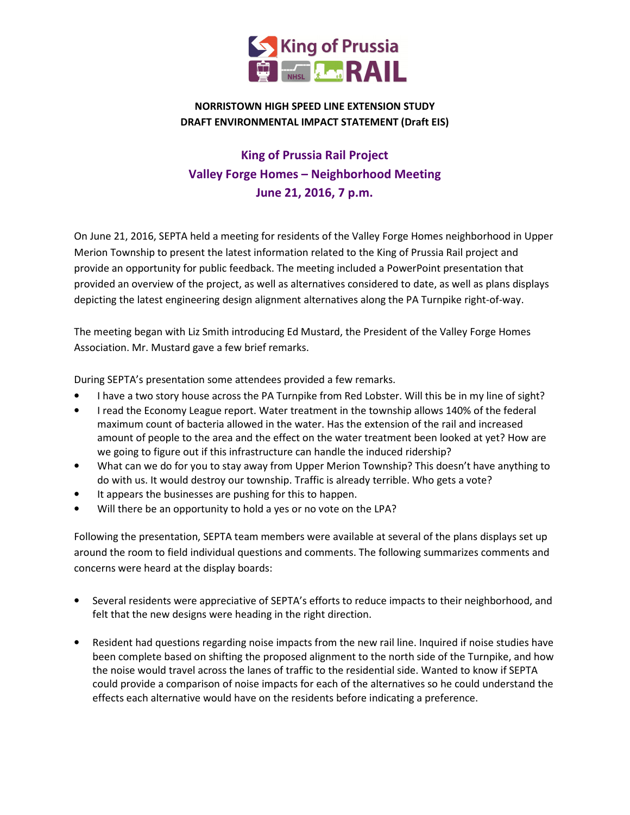

## NORRISTOWN HIGH SPEED LINE EXTENSION STUDY DRAFT ENVIRONMENTAL IMPACT STATEMENT (Draft EIS)

## King of Prussia Rail Project Valley Forge Homes – Neighborhood Meeting June 21, 2016, 7 p.m.

On June 21, 2016, SEPTA held a meeting for residents of the Valley Forge Homes neighborhood in Upper Merion Township to present the latest information related to the King of Prussia Rail project and provide an opportunity for public feedback. The meeting included a PowerPoint presentation that provided an overview of the project, as well as alternatives considered to date, as well as plans displays depicting the latest engineering design alignment alternatives along the PA Turnpike right-of-way.

The meeting began with Liz Smith introducing Ed Mustard, the President of the Valley Forge Homes Association. Mr. Mustard gave a few brief remarks.

During SEPTA's presentation some attendees provided a few remarks.

- I have a two story house across the PA Turnpike from Red Lobster. Will this be in my line of sight?
- I read the Economy League report. Water treatment in the township allows 140% of the federal maximum count of bacteria allowed in the water. Has the extension of the rail and increased amount of people to the area and the effect on the water treatment been looked at yet? How are we going to figure out if this infrastructure can handle the induced ridership?
- What can we do for you to stay away from Upper Merion Township? This doesn't have anything to do with us. It would destroy our township. Traffic is already terrible. Who gets a vote?
- It appears the businesses are pushing for this to happen.
- Will there be an opportunity to hold a yes or no vote on the LPA?

Following the presentation, SEPTA team members were available at several of the plans displays set up around the room to field individual questions and comments. The following summarizes comments and concerns were heard at the display boards:

- Several residents were appreciative of SEPTA's efforts to reduce impacts to their neighborhood, and felt that the new designs were heading in the right direction.
- Resident had questions regarding noise impacts from the new rail line. Inquired if noise studies have been complete based on shifting the proposed alignment to the north side of the Turnpike, and how the noise would travel across the lanes of traffic to the residential side. Wanted to know if SEPTA could provide a comparison of noise impacts for each of the alternatives so he could understand the effects each alternative would have on the residents before indicating a preference.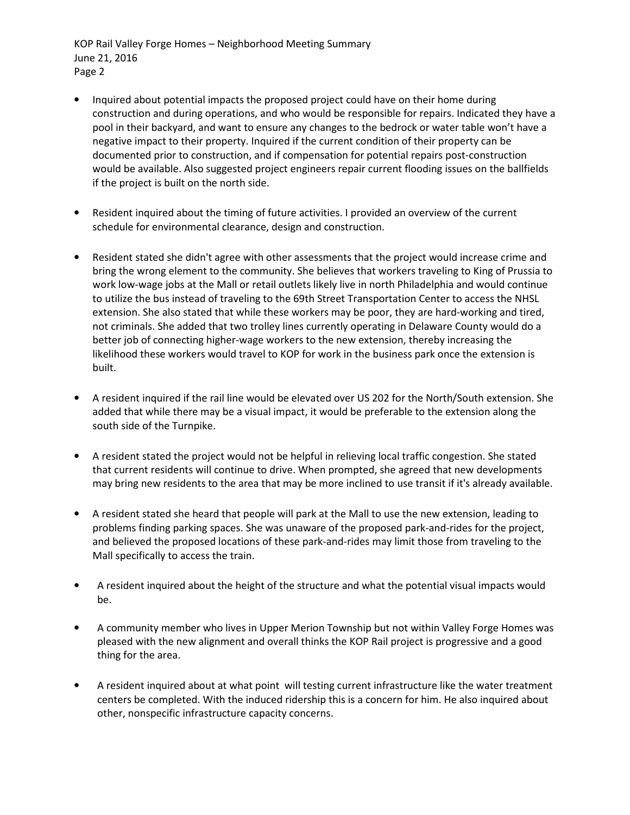KOP Rail Valley Forge Homes – Neighborhood Meeting Summary June 21, 2016 Page 2

- Inquired about potential impacts the proposed project could have on their home during construction and during operations, and who would be responsible for repairs. Indicated they have a pool in their backyard, and want to ensure any changes to the bedrock or water table won't have a negative impact to their property. Inquired if the current condition of their property can be documented prior to construction, and if compensation for potential repairs post-construction would be available. Also suggested project engineers repair current flooding issues on the ballfields if the project is built on the north side.
- Resident inquired about the timing of future activities. I provided an overview of the current schedule for environmental clearance, design and construction.
- Resident stated she didn't agree with other assessments that the project would increase crime and bring the wrong element to the community. She believes that workers traveling to King of Prussia to work low-wage jobs at the Mall or retail outlets likely live in north Philadelphia and would continue to utilize the bus instead of traveling to the 69th Street Transportation Center to access the NHSL extension. She also stated that while these workers may be poor, they are hard-working and tired, not criminals. She added that two trolley lines currently operating in Delaware County would do a better job of connecting higher-wage workers to the new extension, thereby increasing the likelihood these workers would travel to KOP for work in the business park once the extension is built.
- A resident inquired if the rail line would be elevated over US 202 for the North/South extension. She added that while there may be a visual impact, it would be preferable to the extension along the south side of the Turnpike.
- A resident stated the project would not be helpful in relieving local traffic congestion. She stated that current residents will continue to drive. When prompted, she agreed that new developments may bring new residents to the area that may be more inclined to use transit if it's already available.
- A resident stated she heard that people will park at the Mall to use the new extension, leading to problems finding parking spaces. She was unaware of the proposed park-and-rides for the project, and believed the proposed locations of these park-and-rides may limit those from traveling to the Mall specifically to access the train.
- A resident inquired about the height of the structure and what the potential visual impacts would be.
- A community member who lives in Upper Merion Township but not within Valley Forge Homes was pleased with the new alignment and overall thinks the KOP Rail project is progressive and a good thing for the area.
- A resident inquired about at what point will testing current infrastructure like the water treatment centers be completed. With the induced ridership this is a concern for him. He also inquired about other, nonspecific infrastructure capacity concerns.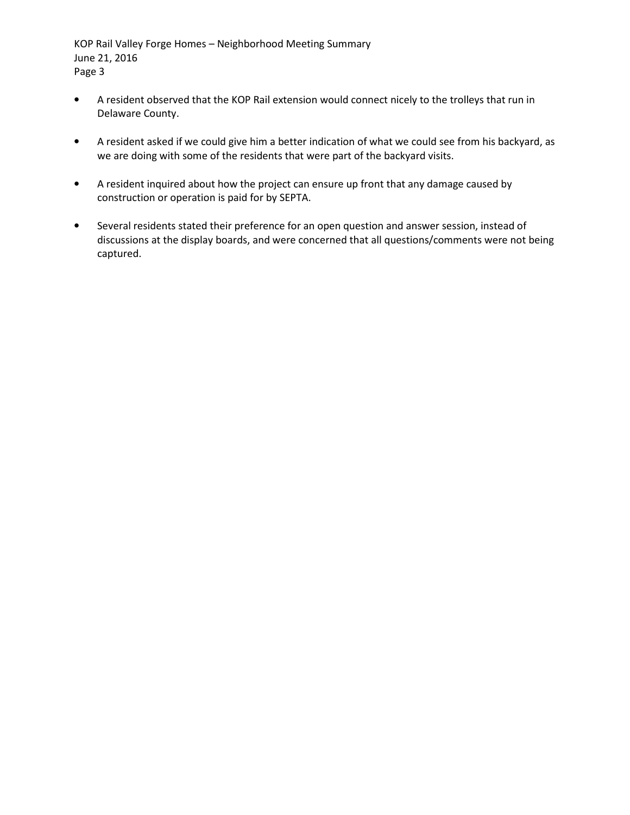KOP Rail Valley Forge Homes – Neighborhood Meeting Summary June 21, 2016 Page 3

- A resident observed that the KOP Rail extension would connect nicely to the trolleys that run in Delaware County.
- A resident asked if we could give him a better indication of what we could see from his backyard, as we are doing with some of the residents that were part of the backyard visits.
- A resident inquired about how the project can ensure up front that any damage caused by construction or operation is paid for by SEPTA.
- Several residents stated their preference for an open question and answer session, instead of discussions at the display boards, and were concerned that all questions/comments were not being captured.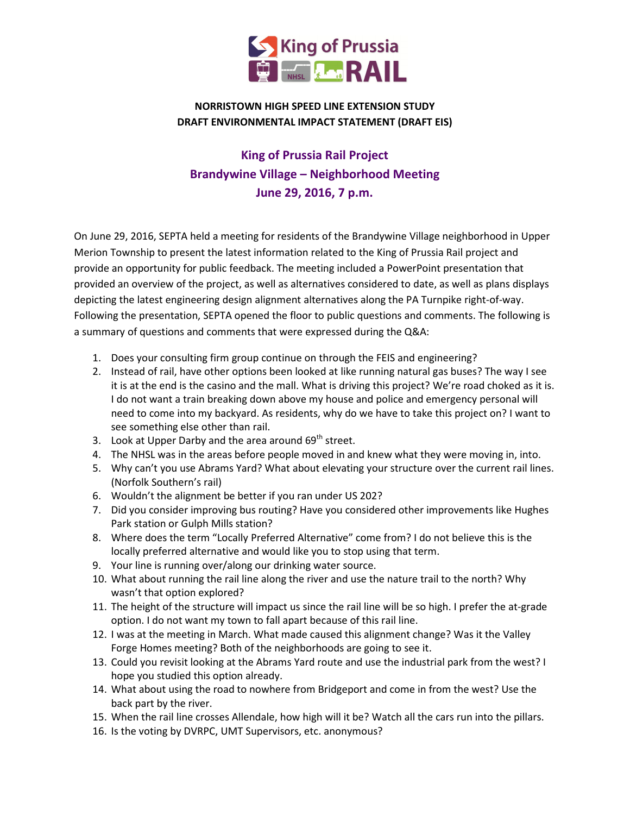

## NORRISTOWN HIGH SPEED LINE EXTENSION STUDY DRAFT ENVIRONMENTAL IMPACT STATEMENT (DRAFT EIS)

## King of Prussia Rail Project Brandywine Village – Neighborhood Meeting June 29, 2016, 7 p.m.

On June 29, 2016, SEPTA held a meeting for residents of the Brandywine Village neighborhood in Upper Merion Township to present the latest information related to the King of Prussia Rail project and provide an opportunity for public feedback. The meeting included a PowerPoint presentation that provided an overview of the project, as well as alternatives considered to date, as well as plans displays depicting the latest engineering design alignment alternatives along the PA Turnpike right-of-way. Following the presentation, SEPTA opened the floor to public questions and comments. The following is a summary of questions and comments that were expressed during the Q&A:

- 1. Does your consulting firm group continue on through the FEIS and engineering?
- 2. Instead of rail, have other options been looked at like running natural gas buses? The way I see it is at the end is the casino and the mall. What is driving this project? We're road choked as it is. I do not want a train breaking down above my house and police and emergency personal will need to come into my backyard. As residents, why do we have to take this project on? I want to see something else other than rail.
- 3. Look at Upper Darby and the area around 69<sup>th</sup> street.
- 4. The NHSL was in the areas before people moved in and knew what they were moving in, into.
- 5. Why can't you use Abrams Yard? What about elevating your structure over the current rail lines. (Norfolk Southern's rail)
- 6. Wouldn't the alignment be better if you ran under US 202?
- 7. Did you consider improving bus routing? Have you considered other improvements like Hughes Park station or Gulph Mills station?
- 8. Where does the term "Locally Preferred Alternative" come from? I do not believe this is the locally preferred alternative and would like you to stop using that term.
- 9. Your line is running over/along our drinking water source.
- 10. What about running the rail line along the river and use the nature trail to the north? Why wasn't that option explored?
- 11. The height of the structure will impact us since the rail line will be so high. I prefer the at-grade option. I do not want my town to fall apart because of this rail line.
- 12. I was at the meeting in March. What made caused this alignment change? Was it the Valley Forge Homes meeting? Both of the neighborhoods are going to see it.
- 13. Could you revisit looking at the Abrams Yard route and use the industrial park from the west? I hope you studied this option already.
- 14. What about using the road to nowhere from Bridgeport and come in from the west? Use the back part by the river.
- 15. When the rail line crosses Allendale, how high will it be? Watch all the cars run into the pillars.
- 16. Is the voting by DVRPC, UMT Supervisors, etc. anonymous?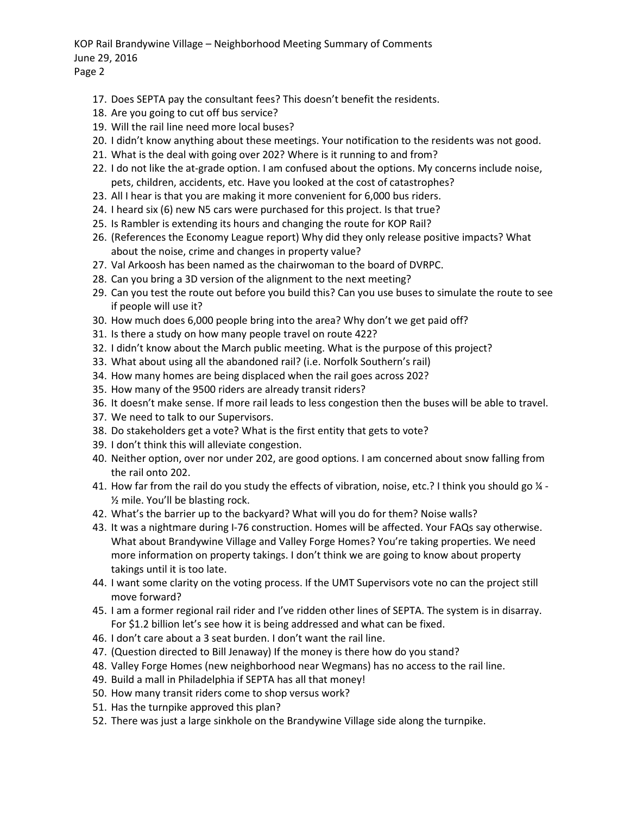KOP Rail Brandywine Village – Neighborhood Meeting Summary of Comments June 29, 2016 Page 2

- 17. Does SEPTA pay the consultant fees? This doesn't benefit the residents.
- 18. Are you going to cut off bus service?
- 19. Will the rail line need more local buses?
- 20. I didn't know anything about these meetings. Your notification to the residents was not good.
- 21. What is the deal with going over 202? Where is it running to and from?
- 22. I do not like the at-grade option. I am confused about the options. My concerns include noise, pets, children, accidents, etc. Have you looked at the cost of catastrophes?
- 23. All I hear is that you are making it more convenient for 6,000 bus riders.
- 24. I heard six (6) new N5 cars were purchased for this project. Is that true?
- 25. Is Rambler is extending its hours and changing the route for KOP Rail?
- 26. (References the Economy League report) Why did they only release positive impacts? What about the noise, crime and changes in property value?
- 27. Val Arkoosh has been named as the chairwoman to the board of DVRPC.
- 28. Can you bring a 3D version of the alignment to the next meeting?
- 29. Can you test the route out before you build this? Can you use buses to simulate the route to see if people will use it?
- 30. How much does 6,000 people bring into the area? Why don't we get paid off?
- 31. Is there a study on how many people travel on route 422?
- 32. I didn't know about the March public meeting. What is the purpose of this project?
- 33. What about using all the abandoned rail? (i.e. Norfolk Southern's rail)
- 34. How many homes are being displaced when the rail goes across 202?
- 35. How many of the 9500 riders are already transit riders?
- 36. It doesn't make sense. If more rail leads to less congestion then the buses will be able to travel.
- 37. We need to talk to our Supervisors.
- 38. Do stakeholders get a vote? What is the first entity that gets to vote?
- 39. I don't think this will alleviate congestion.
- 40. Neither option, over nor under 202, are good options. I am concerned about snow falling from the rail onto 202.
- 41. How far from the rail do you study the effects of vibration, noise, etc.? I think you should go  $\frac{1}{4}$  -½ mile. You'll be blasting rock.
- 42. What's the barrier up to the backyard? What will you do for them? Noise walls?
- 43. It was a nightmare during I-76 construction. Homes will be affected. Your FAQs say otherwise. What about Brandywine Village and Valley Forge Homes? You're taking properties. We need more information on property takings. I don't think we are going to know about property takings until it is too late.
- 44. I want some clarity on the voting process. If the UMT Supervisors vote no can the project still move forward?
- 45. I am a former regional rail rider and I've ridden other lines of SEPTA. The system is in disarray. For \$1.2 billion let's see how it is being addressed and what can be fixed.
- 46. I don't care about a 3 seat burden. I don't want the rail line.
- 47. (Question directed to Bill Jenaway) If the money is there how do you stand?
- 48. Valley Forge Homes (new neighborhood near Wegmans) has no access to the rail line.
- 49. Build a mall in Philadelphia if SEPTA has all that money!
- 50. How many transit riders come to shop versus work?
- 51. Has the turnpike approved this plan?
- 52. There was just a large sinkhole on the Brandywine Village side along the turnpike.